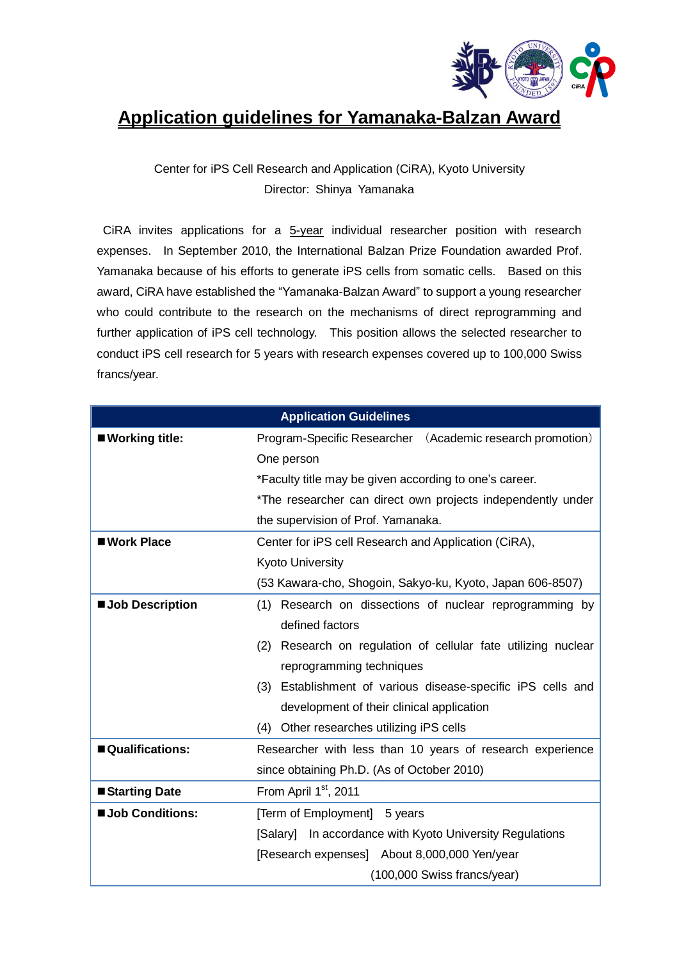

## **Application guidelines for Yamanaka-Balzan Award**

## Center for iPS Cell Research and Application (CiRA), Kyoto University Director: Shinya Yamanaka

CiRA invites applications for a 5-year individual researcher position with research expenses. In September 2010, the International Balzan Prize Foundation awarded Prof. Yamanaka because of his efforts to generate iPS cells from somatic cells. Based on this award, CiRA have established the "Yamanaka-Balzan Award" to support a young researcher who could contribute to the research on the mechanisms of direct reprogramming and further application of iPS cell technology. This position allows the selected researcher to conduct iPS cell research for 5 years with research expenses covered up to 100,000 Swiss francs/year.

| <b>Application Guidelines</b> |                                                               |
|-------------------------------|---------------------------------------------------------------|
| ■ Working title:              | Program-Specific Researcher (Academic research promotion)     |
|                               | One person                                                    |
|                               | *Faculty title may be given according to one's career.        |
|                               | *The researcher can direct own projects independently under   |
|                               | the supervision of Prof. Yamanaka.                            |
| ■ Work Place                  | Center for iPS cell Research and Application (CiRA),          |
|                               | <b>Kyoto University</b>                                       |
|                               | (53 Kawara-cho, Shogoin, Sakyo-ku, Kyoto, Japan 606-8507)     |
| <b>Job Description</b>        | (1) Research on dissections of nuclear reprogramming by       |
|                               | defined factors                                               |
|                               | (2) Research on regulation of cellular fate utilizing nuclear |
|                               | reprogramming techniques                                      |
|                               | (3) Establishment of various disease-specific iPS cells and   |
|                               | development of their clinical application                     |
|                               | (4) Other researches utilizing iPS cells                      |
| Qualifications:               | Researcher with less than 10 years of research experience     |
|                               | since obtaining Ph.D. (As of October 2010)                    |
| ■ Starting Date               | From April 1 <sup>st</sup> , 2011                             |
| <b>Job Conditions:</b>        | [Term of Employment] 5 years                                  |
|                               | [Salary] In accordance with Kyoto University Regulations      |
|                               | [Research expenses] About 8,000,000 Yen/year                  |
|                               | (100,000 Swiss francs/year)                                   |